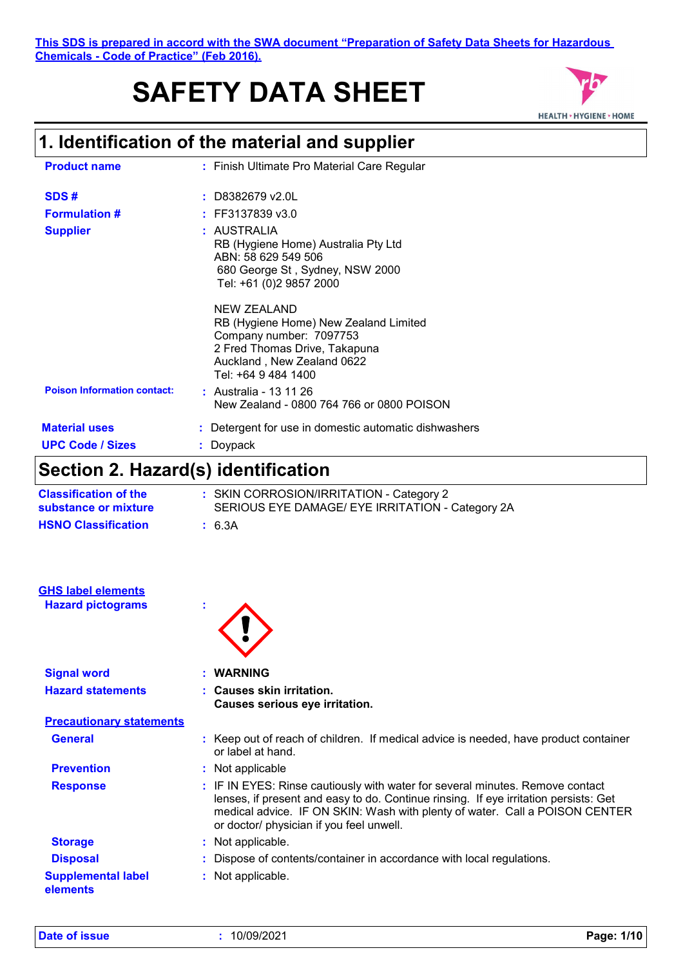# **SAFETY DATA SHEET**



## **1. Identification of the material and supplier**

| <b>Product name</b>                | : Finish Ultimate Pro Material Care Regular                                                                                                                           |
|------------------------------------|-----------------------------------------------------------------------------------------------------------------------------------------------------------------------|
|                                    |                                                                                                                                                                       |
| SDS#                               | $:$ D8382679 v2.0L                                                                                                                                                    |
| <b>Formulation #</b>               | $:$ FF3137839 v3.0                                                                                                                                                    |
| <b>Supplier</b>                    | : AUSTRALIA<br>RB (Hygiene Home) Australia Pty Ltd<br>ABN: 58 629 549 506<br>680 George St, Sydney, NSW 2000<br>Tel: +61 (0)2 9857 2000                               |
|                                    | NEW ZEALAND<br>RB (Hygiene Home) New Zealand Limited<br>Company number: 7097753<br>2 Fred Thomas Drive, Takapuna<br>Auckland, New Zealand 0622<br>Tel: +64 9 484 1400 |
| <b>Poison Information contact:</b> | : Australia - 13 11 26<br>New Zealand - 0800 764 766 or 0800 POISON                                                                                                   |
| <b>Material uses</b>               | : Detergent for use in domestic automatic dishwashers                                                                                                                 |
| <b>UPC Code / Sizes</b>            | Doypack                                                                                                                                                               |

## **Section 2. Hazard(s) identification**

| <b>Classification of the</b><br>substance or mixture | : SKIN CORROSION/IRRITATION - Category 2<br>SERIOUS EYE DAMAGE/ EYE IRRITATION - Category 2A |
|------------------------------------------------------|----------------------------------------------------------------------------------------------|
| <b>HSNO Classification</b>                           | : 6.3A                                                                                       |

| <b>GHS label elements</b>             |                                                                                                                                                                                                                                                                                                  |
|---------------------------------------|--------------------------------------------------------------------------------------------------------------------------------------------------------------------------------------------------------------------------------------------------------------------------------------------------|
| <b>Hazard pictograms</b>              | ÷                                                                                                                                                                                                                                                                                                |
| <b>Signal word</b>                    | : WARNING                                                                                                                                                                                                                                                                                        |
| <b>Hazard statements</b>              | : Causes skin irritation.<br>Causes serious eye irritation.                                                                                                                                                                                                                                      |
| <b>Precautionary statements</b>       |                                                                                                                                                                                                                                                                                                  |
| <b>General</b>                        | : Keep out of reach of children. If medical advice is needed, have product container<br>or label at hand.                                                                                                                                                                                        |
| <b>Prevention</b>                     | : Not applicable                                                                                                                                                                                                                                                                                 |
| <b>Response</b>                       | : IF IN EYES: Rinse cautiously with water for several minutes. Remove contact<br>lenses, if present and easy to do. Continue rinsing. If eye irritation persists: Get<br>medical advice. IF ON SKIN: Wash with plenty of water. Call a POISON CENTER<br>or doctor/ physician if you feel unwell. |
| <b>Storage</b>                        | : Not applicable.                                                                                                                                                                                                                                                                                |
| <b>Disposal</b>                       | : Dispose of contents/container in accordance with local regulations.                                                                                                                                                                                                                            |
| <b>Supplemental label</b><br>elements | : Not applicable.                                                                                                                                                                                                                                                                                |

**Date of issue :** 10/09/2021 **Page: 1/10**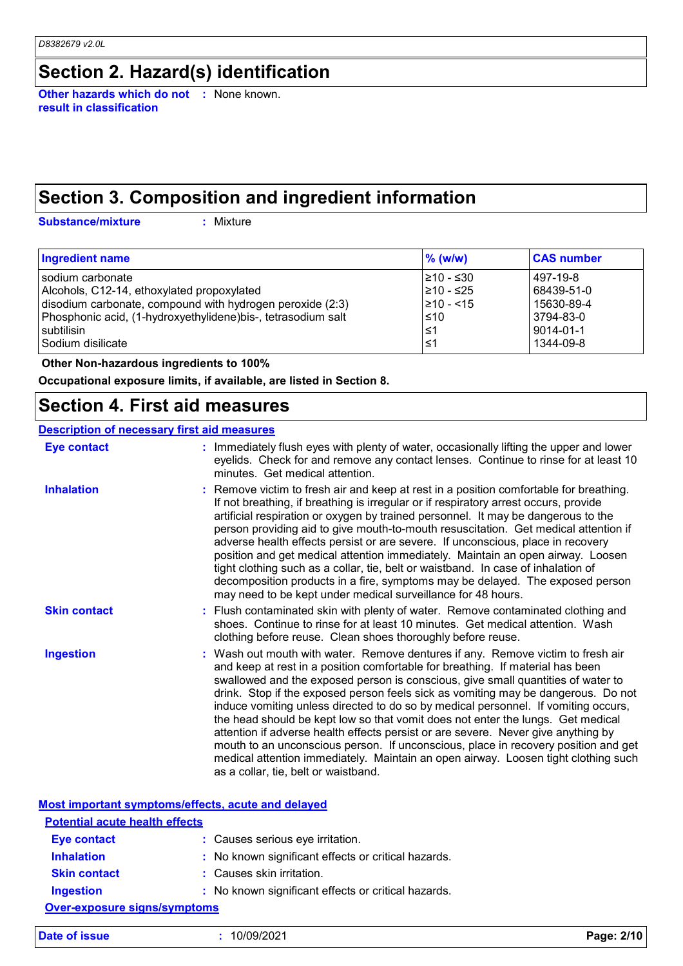### **Section 2. Hazard(s) identification**

**Other hazards which do not :** None known. **result in classification**

## **Section 3. Composition and ingredient information**

**Substance/mixture :**

: Mixture

| Ingredient name                                               | $\%$ (w/w)    | <b>CAS number</b> |
|---------------------------------------------------------------|---------------|-------------------|
| sodium carbonate                                              | 1≥10 - ≤30    | 497-19-8          |
| Alcohols, C12-14, ethoxylated propoxylated                    | 1≥10 - ≤25    | 68439-51-0        |
| disodium carbonate, compound with hydrogen peroxide (2:3)     | $ 210 - 515 $ | 15630-89-4        |
| Phosphonic acid, (1-hydroxyethylidene) bis-, tetrasodium salt | $\leq 10$     | 3794-83-0         |
| subtilisin                                                    | 1≤1           | 9014-01-1         |
| Sodium disilicate                                             | 1≤            | 1344-09-8         |

 **Other Non-hazardous ingredients to 100%**

**Occupational exposure limits, if available, are listed in Section 8.**

### **Section 4. First aid measures**

#### **Description of necessary first aid measures**

| <b>Eye contact</b>  | : Immediately flush eyes with plenty of water, occasionally lifting the upper and lower<br>eyelids. Check for and remove any contact lenses. Continue to rinse for at least 10<br>minutes. Get medical attention.                                                                                                                                                                                                                                                                                                                                                                                                                                                                                                                                                                                                            |
|---------------------|------------------------------------------------------------------------------------------------------------------------------------------------------------------------------------------------------------------------------------------------------------------------------------------------------------------------------------------------------------------------------------------------------------------------------------------------------------------------------------------------------------------------------------------------------------------------------------------------------------------------------------------------------------------------------------------------------------------------------------------------------------------------------------------------------------------------------|
| <b>Inhalation</b>   | : Remove victim to fresh air and keep at rest in a position comfortable for breathing.<br>If not breathing, if breathing is irregular or if respiratory arrest occurs, provide<br>artificial respiration or oxygen by trained personnel. It may be dangerous to the<br>person providing aid to give mouth-to-mouth resuscitation. Get medical attention if<br>adverse health effects persist or are severe. If unconscious, place in recovery<br>position and get medical attention immediately. Maintain an open airway. Loosen<br>tight clothing such as a collar, tie, belt or waistband. In case of inhalation of<br>decomposition products in a fire, symptoms may be delayed. The exposed person<br>may need to be kept under medical surveillance for 48 hours.                                                       |
| <b>Skin contact</b> | : Flush contaminated skin with plenty of water. Remove contaminated clothing and<br>shoes. Continue to rinse for at least 10 minutes. Get medical attention. Wash<br>clothing before reuse. Clean shoes thoroughly before reuse.                                                                                                                                                                                                                                                                                                                                                                                                                                                                                                                                                                                             |
| <b>Ingestion</b>    | : Wash out mouth with water. Remove dentures if any. Remove victim to fresh air<br>and keep at rest in a position comfortable for breathing. If material has been<br>swallowed and the exposed person is conscious, give small quantities of water to<br>drink. Stop if the exposed person feels sick as vomiting may be dangerous. Do not<br>induce vomiting unless directed to do so by medical personnel. If vomiting occurs,<br>the head should be kept low so that vomit does not enter the lungs. Get medical<br>attention if adverse health effects persist or are severe. Never give anything by<br>mouth to an unconscious person. If unconscious, place in recovery position and get<br>medical attention immediately. Maintain an open airway. Loosen tight clothing such<br>as a collar, tie, belt or waistband. |

|                                       | Most important symptoms/effects, acute and delayed  |            |
|---------------------------------------|-----------------------------------------------------|------------|
| <b>Potential acute health effects</b> |                                                     |            |
| <b>Eye contact</b>                    | : Causes serious eye irritation.                    |            |
| <b>Inhalation</b>                     | : No known significant effects or critical hazards. |            |
| <b>Skin contact</b>                   | : Causes skin irritation.                           |            |
| <b>Ingestion</b>                      | : No known significant effects or critical hazards. |            |
| <b>Over-exposure signs/symptoms</b>   |                                                     |            |
| Date of issue                         | 10/09/2021                                          | Page: 2/10 |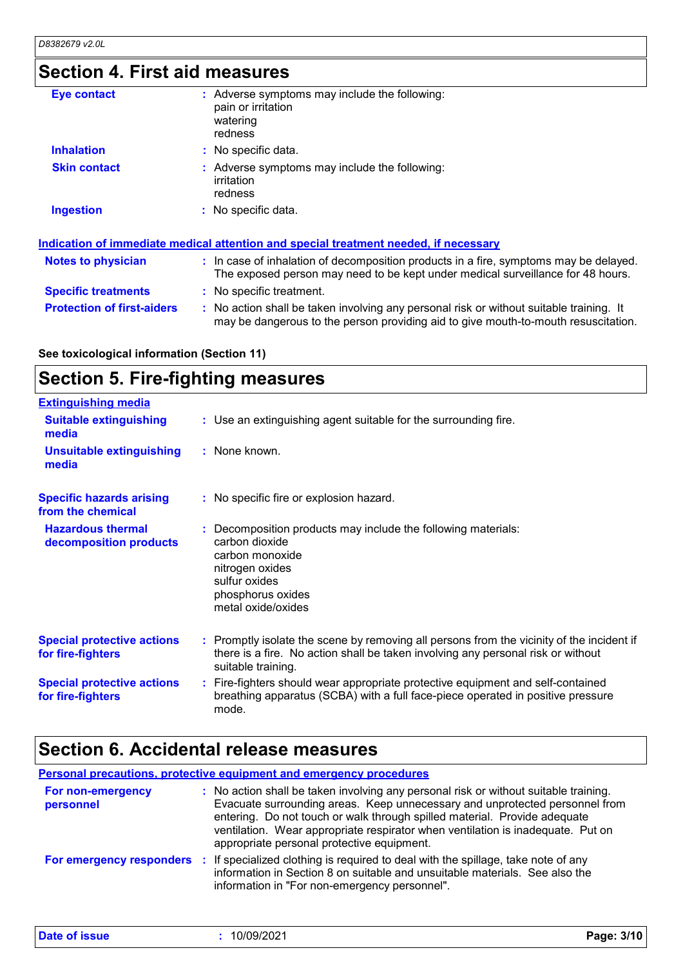# **Section 4. First aid measures**

| <b>Eye contact</b>                | : Adverse symptoms may include the following:<br>pain or irritation<br>watering<br>redness                                                                                    |
|-----------------------------------|-------------------------------------------------------------------------------------------------------------------------------------------------------------------------------|
| <b>Inhalation</b>                 | : No specific data.                                                                                                                                                           |
| <b>Skin contact</b>               | : Adverse symptoms may include the following:<br>irritation<br>redness                                                                                                        |
| <b>Ingestion</b>                  | : No specific data.                                                                                                                                                           |
|                                   | Indication of immediate medical attention and special treatment needed, if necessary                                                                                          |
| <b>Notes to physician</b>         | : In case of inhalation of decomposition products in a fire, symptoms may be delayed.<br>The exposed person may need to be kept under medical surveillance for 48 hours.      |
| <b>Specific treatments</b>        | : No specific treatment.                                                                                                                                                      |
| <b>Protection of first-aiders</b> | : No action shall be taken involving any personal risk or without suitable training. It<br>may be dangerous to the person providing aid to give mouth-to-mouth resuscitation. |

**See toxicological information (Section 11)**

## **Section 5. Fire-fighting measures**

| <b>Extinguishing media</b>                             |                                                                                                                                                                                                     |
|--------------------------------------------------------|-----------------------------------------------------------------------------------------------------------------------------------------------------------------------------------------------------|
| <b>Suitable extinguishing</b><br>media                 | : Use an extinguishing agent suitable for the surrounding fire.                                                                                                                                     |
| <b>Unsuitable extinguishing</b><br>media               | : None known.                                                                                                                                                                                       |
| <b>Specific hazards arising</b><br>from the chemical   | : No specific fire or explosion hazard.                                                                                                                                                             |
| <b>Hazardous thermal</b><br>decomposition products     | : Decomposition products may include the following materials:<br>carbon dioxide<br>carbon monoxide<br>nitrogen oxides<br>sulfur oxides<br>phosphorus oxides<br>metal oxide/oxides                   |
| <b>Special protective actions</b><br>for fire-fighters | : Promptly isolate the scene by removing all persons from the vicinity of the incident if<br>there is a fire. No action shall be taken involving any personal risk or without<br>suitable training. |
| <b>Special protective actions</b><br>for fire-fighters | : Fire-fighters should wear appropriate protective equipment and self-contained<br>breathing apparatus (SCBA) with a full face-piece operated in positive pressure<br>mode.                         |

### **Section 6. Accidental release measures**

**Personal precautions, protective equipment and emergency procedures**

| For non-emergency<br>personnel | : No action shall be taken involving any personal risk or without suitable training.<br>Evacuate surrounding areas. Keep unnecessary and unprotected personnel from<br>entering. Do not touch or walk through spilled material. Provide adequate<br>ventilation. Wear appropriate respirator when ventilation is inadequate. Put on<br>appropriate personal protective equipment. |
|--------------------------------|-----------------------------------------------------------------------------------------------------------------------------------------------------------------------------------------------------------------------------------------------------------------------------------------------------------------------------------------------------------------------------------|
| For emergency responders       | : If specialized clothing is required to deal with the spillage, take note of any<br>information in Section 8 on suitable and unsuitable materials. See also the<br>information in "For non-emergency personnel".                                                                                                                                                                 |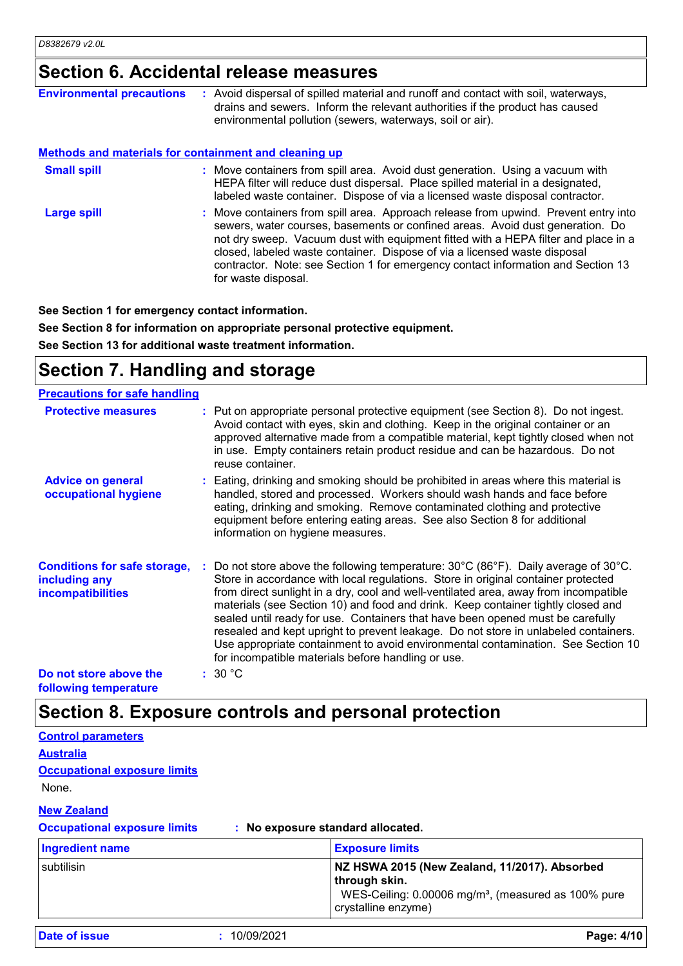### **Section 6. Accidental release measures**

| <b>Environmental precautions</b>                             | : Avoid dispersal of spilled material and runoff and contact with soil, waterways,<br>drains and sewers. Inform the relevant authorities if the product has caused<br>environmental pollution (sewers, waterways, soil or air).                                                                                                                                                                                                                    |
|--------------------------------------------------------------|----------------------------------------------------------------------------------------------------------------------------------------------------------------------------------------------------------------------------------------------------------------------------------------------------------------------------------------------------------------------------------------------------------------------------------------------------|
| <b>Methods and materials for containment and cleaning up</b> |                                                                                                                                                                                                                                                                                                                                                                                                                                                    |
| <b>Small spill</b>                                           | : Move containers from spill area. Avoid dust generation. Using a vacuum with<br>HEPA filter will reduce dust dispersal. Place spilled material in a designated,<br>labeled waste container. Dispose of via a licensed waste disposal contractor.                                                                                                                                                                                                  |
| <b>Large spill</b>                                           | : Move containers from spill area. Approach release from upwind. Prevent entry into<br>sewers, water courses, basements or confined areas. Avoid dust generation. Do<br>not dry sweep. Vacuum dust with equipment fitted with a HEPA filter and place in a<br>closed, labeled waste container. Dispose of via a licensed waste disposal<br>contractor. Note: see Section 1 for emergency contact information and Section 13<br>for waste disposal. |

**See Section 1 for emergency contact information.**

**See Section 8 for information on appropriate personal protective equipment. See Section 13 for additional waste treatment information.**

### **Section 7. Handling and storage**

| <b>Precautions for safe handling</b>                                             |                                                                                                                                                                                                                                                                                                                                                                                                                                                                                                                                                                                                                                                                                                        |
|----------------------------------------------------------------------------------|--------------------------------------------------------------------------------------------------------------------------------------------------------------------------------------------------------------------------------------------------------------------------------------------------------------------------------------------------------------------------------------------------------------------------------------------------------------------------------------------------------------------------------------------------------------------------------------------------------------------------------------------------------------------------------------------------------|
| <b>Protective measures</b>                                                       | : Put on appropriate personal protective equipment (see Section 8). Do not ingest.<br>Avoid contact with eyes, skin and clothing. Keep in the original container or an<br>approved alternative made from a compatible material, kept tightly closed when not<br>in use. Empty containers retain product residue and can be hazardous. Do not<br>reuse container.                                                                                                                                                                                                                                                                                                                                       |
| <b>Advice on general</b><br>occupational hygiene                                 | : Eating, drinking and smoking should be prohibited in areas where this material is<br>handled, stored and processed. Workers should wash hands and face before<br>eating, drinking and smoking. Remove contaminated clothing and protective<br>equipment before entering eating areas. See also Section 8 for additional<br>information on hygiene measures.                                                                                                                                                                                                                                                                                                                                          |
| <b>Conditions for safe storage,</b><br>including any<br><b>incompatibilities</b> | : Do not store above the following temperature: $30^{\circ}$ C (86 $^{\circ}$ F). Daily average of $30^{\circ}$ C.<br>Store in accordance with local regulations. Store in original container protected<br>from direct sunlight in a dry, cool and well-ventilated area, away from incompatible<br>materials (see Section 10) and food and drink. Keep container tightly closed and<br>sealed until ready for use. Containers that have been opened must be carefully<br>resealed and kept upright to prevent leakage. Do not store in unlabeled containers.<br>Use appropriate containment to avoid environmental contamination. See Section 10<br>for incompatible materials before handling or use. |
| Do not store above the<br>following tomporaturo                                  | : 30 °C                                                                                                                                                                                                                                                                                                                                                                                                                                                                                                                                                                                                                                                                                                |

**following temperature**

**Control parameters**

### **Section 8. Exposure controls and personal protection**

| <b>Australia</b><br><b>Occupational exposure limits</b><br>None. |                                                                                                                                                          |
|------------------------------------------------------------------|----------------------------------------------------------------------------------------------------------------------------------------------------------|
| <b>New Zealand</b><br><b>Occupational exposure limits</b>        | : No exposure standard allocated.                                                                                                                        |
| <b>Ingredient name</b>                                           | <b>Exposure limits</b>                                                                                                                                   |
| subtilisin                                                       | NZ HSWA 2015 (New Zealand, 11/2017). Absorbed<br>through skin.<br>WES-Ceiling: 0.00006 mg/m <sup>3</sup> , (measured as 100% pure<br>crystalline enzyme) |
| <b>Date of issue</b><br>10/09/2021                               | Page: 4/10                                                                                                                                               |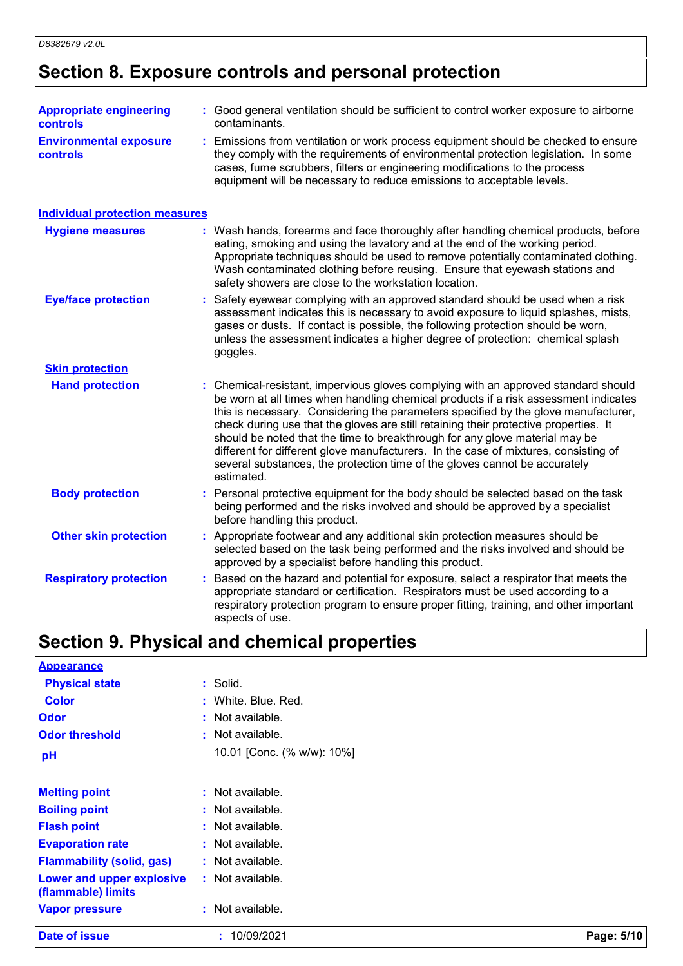# **Section 8. Exposure controls and personal protection**

| <b>Appropriate engineering</b><br>controls       | : Good general ventilation should be sufficient to control worker exposure to airborne<br>contaminants.                                                                                                                                                                                                                                                                                                                                                                                                                                                                                                                   |
|--------------------------------------------------|---------------------------------------------------------------------------------------------------------------------------------------------------------------------------------------------------------------------------------------------------------------------------------------------------------------------------------------------------------------------------------------------------------------------------------------------------------------------------------------------------------------------------------------------------------------------------------------------------------------------------|
| <b>Environmental exposure</b><br><b>controls</b> | : Emissions from ventilation or work process equipment should be checked to ensure<br>they comply with the requirements of environmental protection legislation. In some<br>cases, fume scrubbers, filters or engineering modifications to the process<br>equipment will be necessary to reduce emissions to acceptable levels.                                                                                                                                                                                                                                                                                           |
| <b>Individual protection measures</b>            |                                                                                                                                                                                                                                                                                                                                                                                                                                                                                                                                                                                                                           |
| <b>Hygiene measures</b>                          | : Wash hands, forearms and face thoroughly after handling chemical products, before<br>eating, smoking and using the lavatory and at the end of the working period.<br>Appropriate techniques should be used to remove potentially contaminated clothing.<br>Wash contaminated clothing before reusing. Ensure that eyewash stations and<br>safety showers are close to the workstation location.                                                                                                                                                                                                                         |
| <b>Eye/face protection</b>                       | : Safety eyewear complying with an approved standard should be used when a risk<br>assessment indicates this is necessary to avoid exposure to liquid splashes, mists,<br>gases or dusts. If contact is possible, the following protection should be worn,<br>unless the assessment indicates a higher degree of protection: chemical splash<br>goggles.                                                                                                                                                                                                                                                                  |
| <b>Skin protection</b>                           |                                                                                                                                                                                                                                                                                                                                                                                                                                                                                                                                                                                                                           |
| <b>Hand protection</b>                           | : Chemical-resistant, impervious gloves complying with an approved standard should<br>be worn at all times when handling chemical products if a risk assessment indicates<br>this is necessary. Considering the parameters specified by the glove manufacturer,<br>check during use that the gloves are still retaining their protective properties. It<br>should be noted that the time to breakthrough for any glove material may be<br>different for different glove manufacturers. In the case of mixtures, consisting of<br>several substances, the protection time of the gloves cannot be accurately<br>estimated. |
| <b>Body protection</b>                           | : Personal protective equipment for the body should be selected based on the task<br>being performed and the risks involved and should be approved by a specialist<br>before handling this product.                                                                                                                                                                                                                                                                                                                                                                                                                       |
| <b>Other skin protection</b>                     | : Appropriate footwear and any additional skin protection measures should be<br>selected based on the task being performed and the risks involved and should be<br>approved by a specialist before handling this product.                                                                                                                                                                                                                                                                                                                                                                                                 |
| <b>Respiratory protection</b>                    | Based on the hazard and potential for exposure, select a respirator that meets the<br>appropriate standard or certification. Respirators must be used according to a<br>respiratory protection program to ensure proper fitting, training, and other important<br>aspects of use.                                                                                                                                                                                                                                                                                                                                         |

# **Section 9. Physical and chemical properties**

| Date of issue                                   | : 10/09/2021               | Page: 5/10 |
|-------------------------------------------------|----------------------------|------------|
| <b>Vapor pressure</b>                           | : Not available.           |            |
| Lower and upper explosive<br>(flammable) limits | : Not available.           |            |
| <b>Flammability (solid, gas)</b>                | : Not available.           |            |
| <b>Evaporation rate</b>                         | : Not available.           |            |
| <b>Flash point</b>                              | $:$ Not available.         |            |
| <b>Boiling point</b>                            | : Not available.           |            |
| <b>Melting point</b>                            | : Not available.           |            |
| pH                                              | 10.01 [Conc. (% w/w): 10%] |            |
| <b>Odor threshold</b>                           | $:$ Not available.         |            |
| <b>Odor</b>                                     | $:$ Not available.         |            |
| <b>Color</b>                                    | : White. Blue. Red.        |            |
| <b>Physical state</b>                           | : Solid.                   |            |
| <b>Appearance</b>                               |                            |            |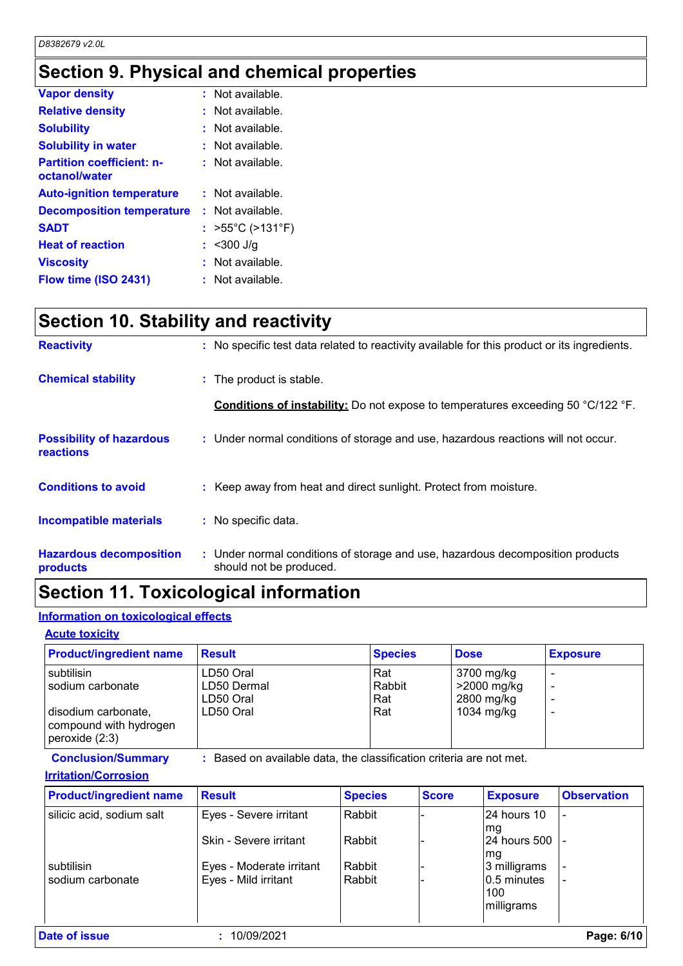## **Section 9. Physical and chemical properties**

| <b>Vapor density</b>                              | : Not available.                      |
|---------------------------------------------------|---------------------------------------|
| <b>Relative density</b>                           | Not available.                        |
| <b>Solubility</b>                                 | Not available.                        |
| <b>Solubility in water</b>                        | Not available.                        |
| <b>Partition coefficient: n-</b><br>octanol/water | : Not available.                      |
| <b>Auto-ignition temperature</b>                  | : Not available.                      |
| <b>Decomposition temperature</b>                  | $:$ Not available.                    |
| <b>SADT</b>                                       | : $>55^{\circ}$ C ( $>131^{\circ}$ F) |
| <b>Heat of reaction</b>                           | $<$ 300 J/g                           |
| <b>Viscosity</b>                                  | : Not available.                      |
| Flow time (ISO 2431)                              | : Not available.                      |

## **Section 10. Stability and reactivity**

| <b>Reactivity</b>                            | : No specific test data related to reactivity available for this product or its ingredients.              |
|----------------------------------------------|-----------------------------------------------------------------------------------------------------------|
| <b>Chemical stability</b>                    | : The product is stable.                                                                                  |
|                                              | <b>Conditions of instability:</b> Do not expose to temperatures exceeding 50 °C/122 °F.                   |
| <b>Possibility of hazardous</b><br>reactions | : Under normal conditions of storage and use, hazardous reactions will not occur.                         |
| <b>Conditions to avoid</b>                   | : Keep away from heat and direct sunlight. Protect from moisture.                                         |
| <b>Incompatible materials</b>                | : No specific data.                                                                                       |
| <b>Hazardous decomposition</b><br>products   | : Under normal conditions of storage and use, hazardous decomposition products<br>should not be produced. |

### **Section 11. Toxicological information**

#### **Information on toxicological effects**

#### **Acute toxicity**

| <b>Product/ingredient name</b>                                                                      | <b>Result</b>                                      | <b>Species</b>              | <b>Dose</b>                                           | <b>Exposure</b> |
|-----------------------------------------------------------------------------------------------------|----------------------------------------------------|-----------------------------|-------------------------------------------------------|-----------------|
| subtilisin<br>sodium carbonate<br>disodium carbonate,<br>compound with hydrogen<br>peroxide $(2:3)$ | LD50 Oral<br>LD50 Dermal<br>LD50 Oral<br>LD50 Oral | Rat<br>Rabbit<br>Rat<br>Rat | 3700 mg/kg<br>>2000 mg/kg<br>2800 mg/kg<br>1034 mg/kg |                 |

**Conclusion/Summary :** Based on available data, the classification criteria are not met.

#### **Irritation/Corrosion**

| <b>Product/ingredient name</b> | <b>Result</b>            | <b>Species</b> | <b>Score</b> | <b>Exposure</b>           | <b>Observation</b> |
|--------------------------------|--------------------------|----------------|--------------|---------------------------|--------------------|
| silicic acid, sodium salt      | Eyes - Severe irritant   | Rabbit         |              | 24 hours 10               |                    |
|                                | Skin - Severe irritant   | Rabbit         |              | mg<br><b>24 hours 500</b> |                    |
| subtilisin                     | Eyes - Moderate irritant | Rabbit         |              | mg<br>3 milligrams        |                    |
| sodium carbonate               | Eyes - Mild irritant     | Rabbit         |              | 0.5 minutes               |                    |
|                                |                          |                |              | 100<br>milligrams         |                    |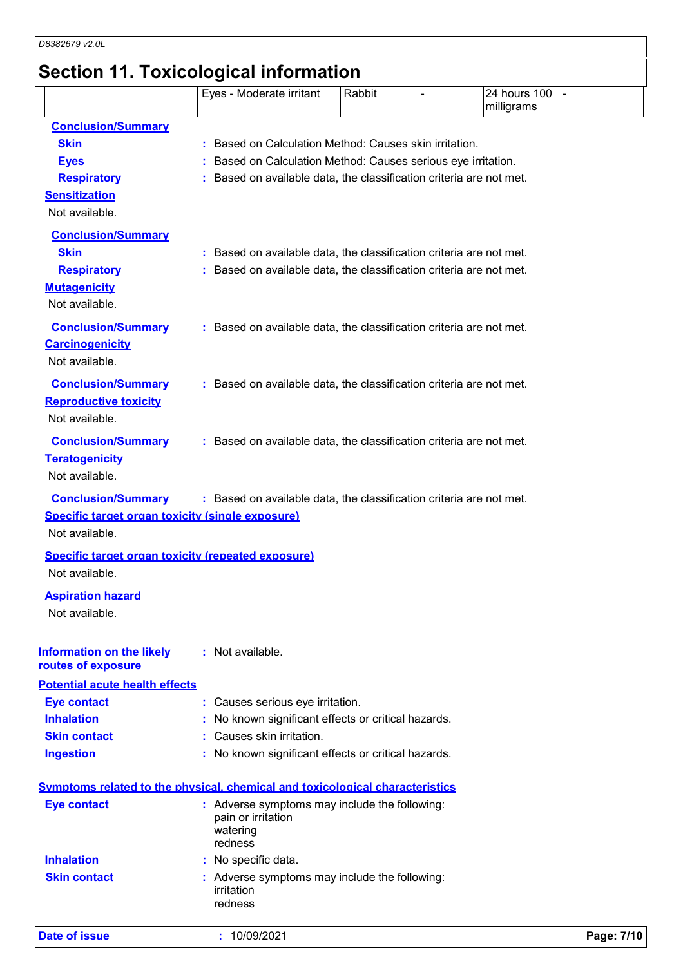# **Section 11. Toxicological information**

| <b>Date of issue</b>                                                                 | 10/09/2021                                                                                                                       |        |              | Page: 7/10 |
|--------------------------------------------------------------------------------------|----------------------------------------------------------------------------------------------------------------------------------|--------|--------------|------------|
| <b>Skin contact</b>                                                                  | : Adverse symptoms may include the following:<br>irritation<br>redness                                                           |        |              |            |
| <b>Inhalation</b>                                                                    | No specific data.                                                                                                                |        |              |            |
|                                                                                      | watering<br>redness                                                                                                              |        |              |            |
| <b>Eye contact</b>                                                                   | : Adverse symptoms may include the following:<br>pain or irritation                                                              |        |              |            |
|                                                                                      | <b>Symptoms related to the physical, chemical and toxicological characteristics</b>                                              |        |              |            |
| <b>Ingestion</b>                                                                     | No known significant effects or critical hazards.                                                                                |        |              |            |
| <b>Skin contact</b>                                                                  | Causes skin irritation.                                                                                                          |        |              |            |
| <b>Inhalation</b>                                                                    | No known significant effects or critical hazards.                                                                                |        |              |            |
| <b>Eye contact</b>                                                                   | Causes serious eye irritation.                                                                                                   |        |              |            |
| <b>Potential acute health effects</b>                                                |                                                                                                                                  |        |              |            |
| <b>Information on the likely</b><br>routes of exposure                               | : Not available.                                                                                                                 |        |              |            |
| <b>Aspiration hazard</b><br>Not available.                                           |                                                                                                                                  |        |              |            |
|                                                                                      |                                                                                                                                  |        |              |            |
| Not available.                                                                       | <b>Specific target organ toxicity (repeated exposure)</b>                                                                        |        |              |            |
| Not available.                                                                       |                                                                                                                                  |        |              |            |
| <b>Conclusion/Summary</b><br><b>Specific target organ toxicity (single exposure)</b> | : Based on available data, the classification criteria are not met.                                                              |        |              |            |
| Not available.                                                                       |                                                                                                                                  |        |              |            |
| <b>Conclusion/Summary</b><br><b>Teratogenicity</b>                                   | : Based on available data, the classification criteria are not met.                                                              |        |              |            |
| <b>Reproductive toxicity</b><br>Not available.                                       |                                                                                                                                  |        |              |            |
| <b>Conclusion/Summary</b>                                                            | : Based on available data, the classification criteria are not met.                                                              |        |              |            |
| <b>Carcinogenicity</b><br>Not available.                                             |                                                                                                                                  |        |              |            |
| <b>Conclusion/Summary</b>                                                            | : Based on available data, the classification criteria are not met.                                                              |        |              |            |
| Not available.                                                                       |                                                                                                                                  |        |              |            |
| <b>Respiratory</b><br><b>Mutagenicity</b>                                            | Based on available data, the classification criteria are not met.                                                                |        |              |            |
| <b>Skin</b>                                                                          | Based on available data, the classification criteria are not met.                                                                |        |              |            |
| <b>Conclusion/Summary</b>                                                            |                                                                                                                                  |        |              |            |
| Not available.                                                                       |                                                                                                                                  |        |              |            |
| <b>Sensitization</b>                                                                 |                                                                                                                                  |        |              |            |
| <b>Eyes</b><br><b>Respiratory</b>                                                    | Based on Calculation Method: Causes serious eye irritation.<br>Based on available data, the classification criteria are not met. |        |              |            |
| <b>Skin</b>                                                                          | Based on Calculation Method: Causes skin irritation.                                                                             |        |              |            |
| <b>Conclusion/Summary</b>                                                            |                                                                                                                                  |        |              |            |
|                                                                                      |                                                                                                                                  |        | milligrams   |            |
|                                                                                      | Eyes - Moderate irritant                                                                                                         | Rabbit | 24 hours 100 |            |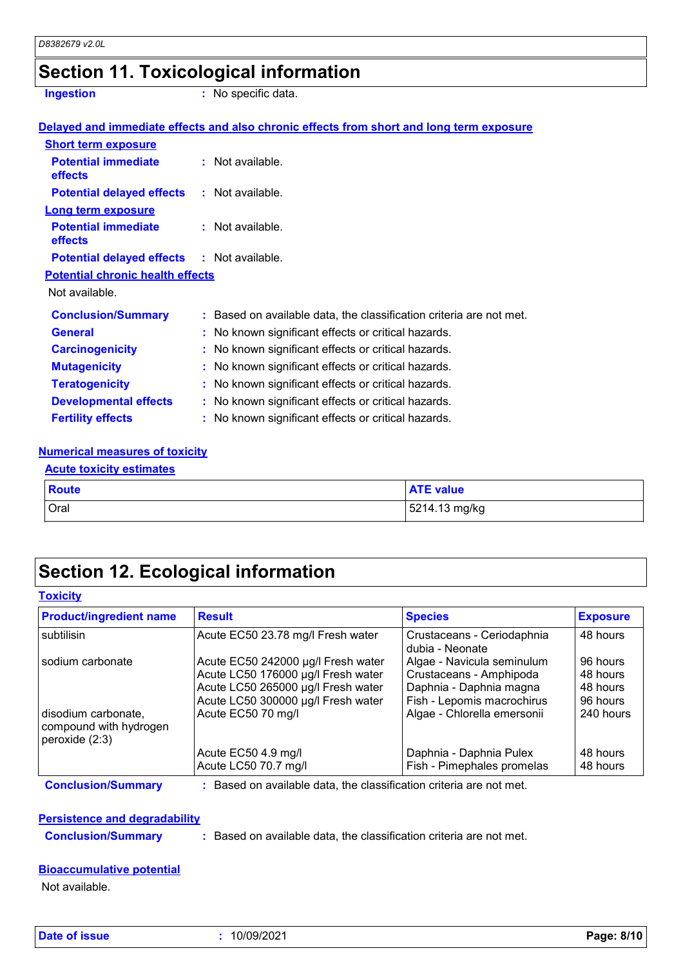# **Section 11. Toxicological information**

**Ingestion :** No specific data.

|                                                   | Delayed and immediate effects and also chronic effects from short and long term exposure |
|---------------------------------------------------|------------------------------------------------------------------------------------------|
| <b>Short term exposure</b>                        |                                                                                          |
| <b>Potential immediate</b><br><b>effects</b>      | $:$ Not available.                                                                       |
| <b>Potential delayed effects</b>                  | : Not available.                                                                         |
| <b>Long term exposure</b>                         |                                                                                          |
| <b>Potential immediate</b><br>effects             | $:$ Not available.                                                                       |
| <b>Potential delayed effects : Not available.</b> |                                                                                          |
| <b>Potential chronic health effects</b>           |                                                                                          |
| Not available.                                    |                                                                                          |
| <b>Conclusion/Summary</b>                         | : Based on available data, the classification criteria are not met.                      |
| <b>General</b>                                    | : No known significant effects or critical hazards.                                      |
| <b>Carcinogenicity</b>                            | : No known significant effects or critical hazards.                                      |
| <b>Mutagenicity</b>                               | : No known significant effects or critical hazards.                                      |
| <b>Teratogenicity</b>                             | : No known significant effects or critical hazards.                                      |
| <b>Developmental effects</b>                      | : No known significant effects or critical hazards.                                      |
| <b>Fertility effects</b>                          | : No known significant effects or critical hazards.                                      |

#### **Numerical measures of toxicity**

| <b>Acute toxicity estimates</b> |                  |
|---------------------------------|------------------|
| <b>Route</b>                    | <b>ATE value</b> |
| Oral                            | 5214.13 mg/kg    |

### **Section 12. Ecological information**

|  |  | <b>Toxicity</b> |  |  |  |
|--|--|-----------------|--|--|--|
|--|--|-----------------|--|--|--|

| <b>Product/ingredient name</b>                                    | <b>Result</b>                      | <b>Species</b>                                | <b>Exposure</b> |
|-------------------------------------------------------------------|------------------------------------|-----------------------------------------------|-----------------|
| subtilisin                                                        | Acute EC50 23.78 mg/l Fresh water  | Crustaceans - Ceriodaphnia<br>dubia - Neonate | 48 hours        |
| sodium carbonate                                                  | Acute EC50 242000 µg/l Fresh water | Algae - Navicula seminulum                    | 96 hours        |
|                                                                   | Acute LC50 176000 µg/l Fresh water | Crustaceans - Amphipoda                       | 48 hours        |
|                                                                   | Acute LC50 265000 µg/l Fresh water | Daphnia - Daphnia magna                       | 48 hours        |
|                                                                   | Acute LC50 300000 µg/l Fresh water | Fish - Lepomis macrochirus                    | 96 hours        |
| disodium carbonate,<br>compound with hydrogen<br>peroxide $(2:3)$ | Acute EC50 70 mg/l                 | Algae - Chlorella emersonii                   | 240 hours       |
|                                                                   | Acute EC50 4.9 mg/l                | Daphnia - Daphnia Pulex                       | 48 hours        |
|                                                                   | Acute LC50 70.7 mg/l               | Fish - Pimephales promelas                    | 48 hours        |

**Conclusion/Summary :** Based on available data, the classification criteria are not met.

#### **Persistence and degradability**

**Conclusion/Summary :** Based on available data, the classification criteria are not met.

#### **Bioaccumulative potential**

Not available.

**Date of issue :** 10/09/2021 **Page: 8/10**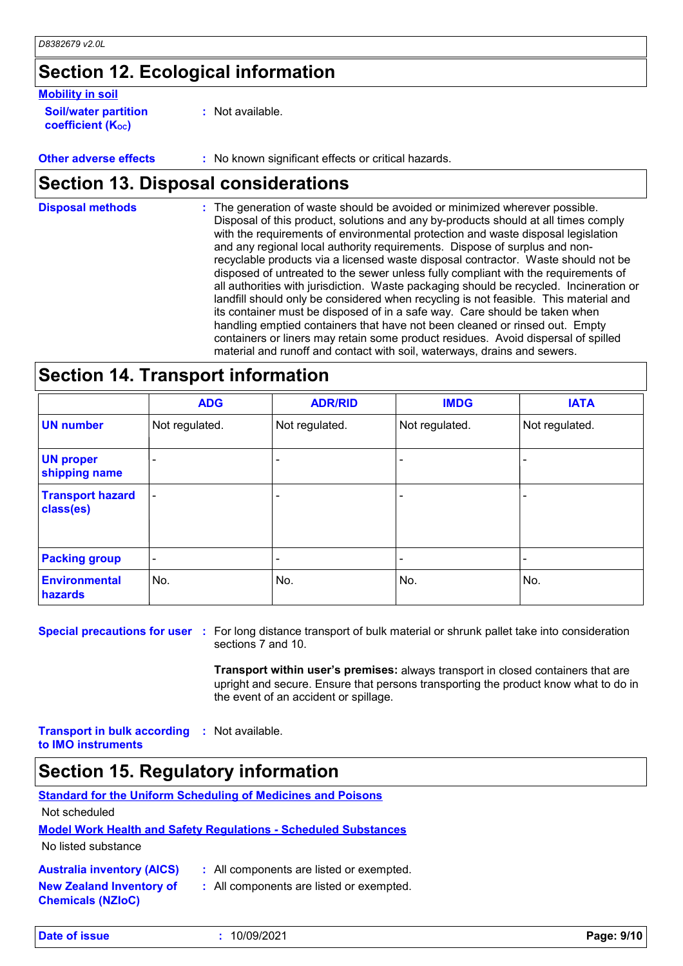### **Section 12. Ecological information**

#### **Mobility in soil**

| <b>Soil/water partition</b> |  |
|-----------------------------|--|
| <b>coefficient (Koc)</b>    |  |

**:** Not available.

**Other adverse effects :** No known significant effects or critical hazards.

### **Section 13. Disposal considerations**

The generation of waste should be avoided or minimized wherever possible. Disposal of this product, solutions and any by-products should at all times comply with the requirements of environmental protection and waste disposal legislation and any regional local authority requirements. Dispose of surplus and nonrecyclable products via a licensed waste disposal contractor. Waste should not be disposed of untreated to the sewer unless fully compliant with the requirements of all authorities with jurisdiction. Waste packaging should be recycled. Incineration or landfill should only be considered when recycling is not feasible. This material and its container must be disposed of in a safe way. Care should be taken when handling emptied containers that have not been cleaned or rinsed out. Empty containers or liners may retain some product residues. Avoid dispersal of spilled material and runoff and contact with soil, waterways, drains and sewers. **Disposal methods :**

### **Section 14. Transport information**

|                                      | <b>ADG</b>               | <b>ADR/RID</b> | <b>IMDG</b>              | <b>IATA</b>    |
|--------------------------------------|--------------------------|----------------|--------------------------|----------------|
| <b>UN number</b>                     | Not regulated.           | Not regulated. | Not regulated.           | Not regulated. |
| <b>UN proper</b><br>shipping name    |                          |                |                          |                |
| <b>Transport hazard</b><br>class(es) | $\overline{\phantom{a}}$ | -              |                          |                |
| <b>Packing group</b>                 | $\overline{\phantom{a}}$ | -              | $\overline{\phantom{a}}$ |                |
| <b>Environmental</b><br>hazards      | No.                      | No.            | No.                      | No.            |

**Special precautions for user** : For long distance transport of bulk material or shrunk pallet take into consideration sections 7 and 10.

> **Transport within user's premises:** always transport in closed containers that are upright and secure. Ensure that persons transporting the product know what to do in the event of an accident or spillage.

**Transport in bulk according :** Not available. **to IMO instruments**

## **Section 15. Regulatory information**

| <b>Standard for the Uniform Scheduling of Medicines and Poisons</b> |  |
|---------------------------------------------------------------------|--|
|                                                                     |  |

Not scheduled

#### **Model Work Health and Safety Regulations - Scheduled Substances**

No listed substance

- 
- **Australia inventory (AICS) :** All components are listed or exempted.
- **New Zealand Inventory of Chemicals (NZIoC)**
- **:** All components are listed or exempted.

**Date of issue :** 10/09/2021 **Page: 9/10**